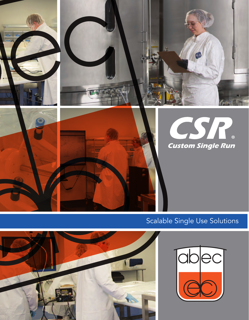

# Scalable Single Use Solutions



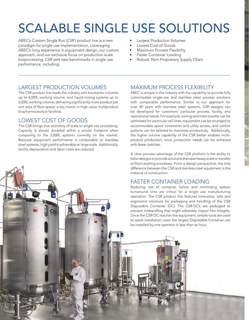# SCALABLE SINGLE USE SOLUTIONS

ABEC's Custom Single Run (CSR') product line is a new paradigm for single use implementation. Leveraging ABEC's long experience in equipment design, our custom approach, and our exclusive focus on production scale bioprocessing, CSR sets new benchmarks in single use performance, including:

- Largest Production Volumes
- Lowest Cost of Goods
- Maximum Process Flexibility
- Faster Container Loading
- Robust, Non-Proprietary Supply Chain

### LARGEST PRODUCTION VOLUMES

The CSR product line leads the industry with bioreactor volumes up to 4,000L working volume, and liquid mixing systems up to 5,000L working volume; delivering significantly more product per unit area of floor space; a key metric in high-value multiproduct biopharmaceutical facilities.

### LOWEST COST OF GOODS

The CSR brings true economy of scale to single use processing. Capacity is almost doubled within a similar footprint when comparing to the 2,000L systems currently on the market. Because equipment performance is comparable to stainless steel systems, high yield is achievable at large scale. Additionally, facility depreciation and labor costs are reduced.

# MAXIMUM PROCESS FLEXIBILITY

ABEC is unique in the industry with the capability to provide fully customizable single-use and stainless steel process solutions with comparable performance. Similar to our approach for over 40 years with stainless steel systems, CSR designs can be developed for customers' particular process, facility, and operational needs. For example, mixing and mass transfer can be optimized for particular cell lines, equipment can be arranged to accommodate space constraints and utility access, and control systems can be tailored to maximize productivity. Additionally, the higher volume capability of the CSR better enables multiproduct production, since production needs can be achieved with fewer hatches.

A clear process advantage of the CSR platform is the ability to tailor designs to provide solutions that seamlessly scale or transfer to/from existing processes. From a design perspective, the only difference between the CSR and stainless steel equipment is the material of construction.

# FASTER CONTAINER LOADING

Reducing risk of container failure and minimizing system turnaround time are critical for a single use manufacturing operation. The CSR product line features innovative, safe and ergonomic solutions for packaging and handling of the CSR Disposable Container (DC). The CSR-DC's are packaged to prevent mishandling that might adversely impact film integrity. Once the CSR-DC reaches the equipment, simple tools are used to assist installation; even the largest Disposable Container can be installed by one operator in less than an hour.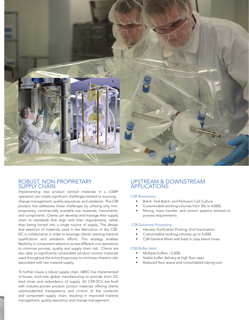

#### ROBUST, NON-PROPRIETARY SUPPLY CHAIN

Implementing new product contact materials in a cGMP operation can create significant challenges related to sourcing, change management, quality assurance, and validation. The CSR product line addresses those challenges by utilizing only nonproprietary, commercially available raw materials, instruments, and components. Clients can develop and manage their supply chain to standards that align with their requirements, rather than being forced into a single source of supply. The design and selection of materials used in the fabrication of the CSR-DC is collaborative in order to leverage clients' existing material qualification and validation efforts. This strategy enables flexibility in component selection across different unit operations to minimize process, quality and supply chain risk. Clients are also able to significantly consolidate product contact materials used throughout the entire bioprocess to minimize inherent risks associated with raw material supply.

To further insure a robust supply chain, ABEC has implemented in-house, multi-site global manufacturing to provide short DC lead times and redundancy of supply. All CSR-DC's are built with industry-proven product contact materials offering clients unprecedented transparency and control of the container and component supply chain, resulting in improved material management, quality assurance and change management.

### UPSTREAM & DOWNSTREAM APPLICATIONS

#### CSR-Bioreactors

- Batch, Fed-Batch, and Perfusion Cell Culture
- Customizable working volumes from 50L to 4,000L
- Mixing, mass transfer, and control systems tailored to process requirements

#### CSR-Solutions Processing

- Harvest, Purification Pooling, Viral Inactivation
- Customizable working volumes up to 5,000L
- CSR-General Mixer with best in class blend times

#### CSR-Buffer Hold

- Multiple buffers >3,500L
- Stable buffer delivery at high flow rates
- Reduced floor space and consolidated tubing runs